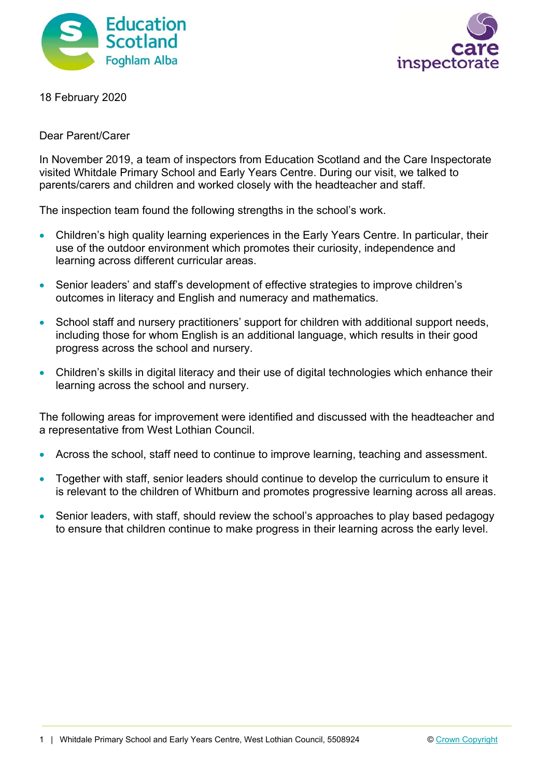



18 February 2020

Dear Parent/Carer

In November 2019, a team of inspectors from Education Scotland and the Care Inspectorate visited Whitdale Primary School and Early Years Centre. During our visit, we talked to parents/carers and children and worked closely with the headteacher and staff.

The inspection team found the following strengths in the school's work.

- Children's high quality learning experiences in the Early Years Centre. In particular, their use of the outdoor environment which promotes their curiosity, independence and learning across different curricular areas.
- Senior leaders' and staff's development of effective strategies to improve children's outcomes in literacy and English and numeracy and mathematics.
- School staff and nursery practitioners' support for children with additional support needs, including those for whom English is an additional language, which results in their good progress across the school and nursery.
- Children's skills in digital literacy and their use of digital technologies which enhance their learning across the school and nursery.

The following areas for improvement were identified and discussed with the headteacher and a representative from West Lothian Council.

- Across the school, staff need to continue to improve learning, teaching and assessment.
- Together with staff, senior leaders should continue to develop the curriculum to ensure it is relevant to the children of Whitburn and promotes progressive learning across all areas.
- Senior leaders, with staff, should review the school's approaches to play based pedagogy to ensure that children continue to make progress in their learning across the early level.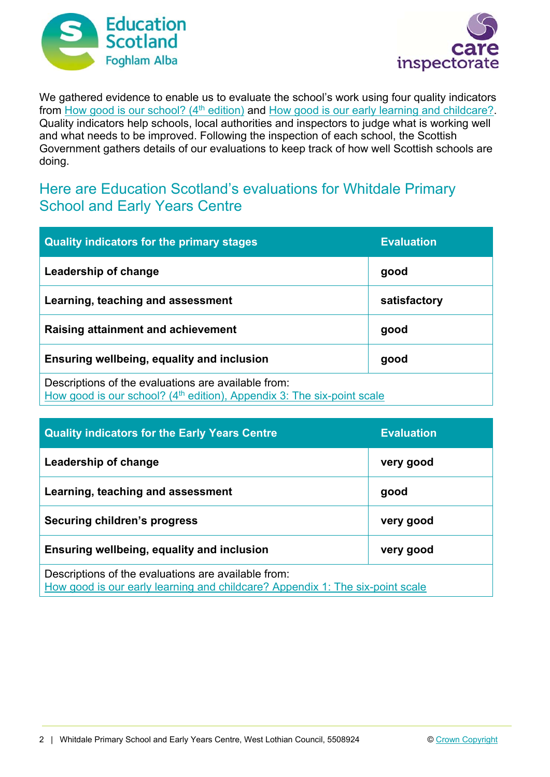



We gathered evidence to enable us to evaluate the school's work using four quality indicators from How good is our school? (4<sup>th</sup> edition) and How good is our early learning and childcare? Quality indicators help schools, local authorities and inspectors to judge what is working well and what needs to be improved. Following the inspection of each school, the Scottish Government gathers details of our evaluations to keep track of how well Scottish schools are doing.

## Here are Education Scotland's evaluations for Whitdale Primary School and Early Years Centre

| <b>Quality indicators for the primary stages</b>                                                                                | <b>Evaluation</b> |
|---------------------------------------------------------------------------------------------------------------------------------|-------------------|
| Leadership of change                                                                                                            | good              |
| Learning, teaching and assessment                                                                                               | satisfactory      |
| Raising attainment and achievement                                                                                              | good              |
| Ensuring wellbeing, equality and inclusion                                                                                      | good              |
| Descriptions of the evaluations are available from:<br>How good is our school? $(4th$ edition), Appendix 3: The six-point scale |                   |

| <b>Quality indicators for the Early Years Centre</b>                                                                                 | <b>Evaluation</b> |
|--------------------------------------------------------------------------------------------------------------------------------------|-------------------|
| Leadership of change                                                                                                                 | very good         |
| Learning, teaching and assessment                                                                                                    | good              |
| Securing children's progress                                                                                                         | very good         |
| Ensuring wellbeing, equality and inclusion                                                                                           | very good         |
| Descriptions of the evaluations are available from:<br>How good is our early learning and childcare? Appendix 1: The six-point scale |                   |